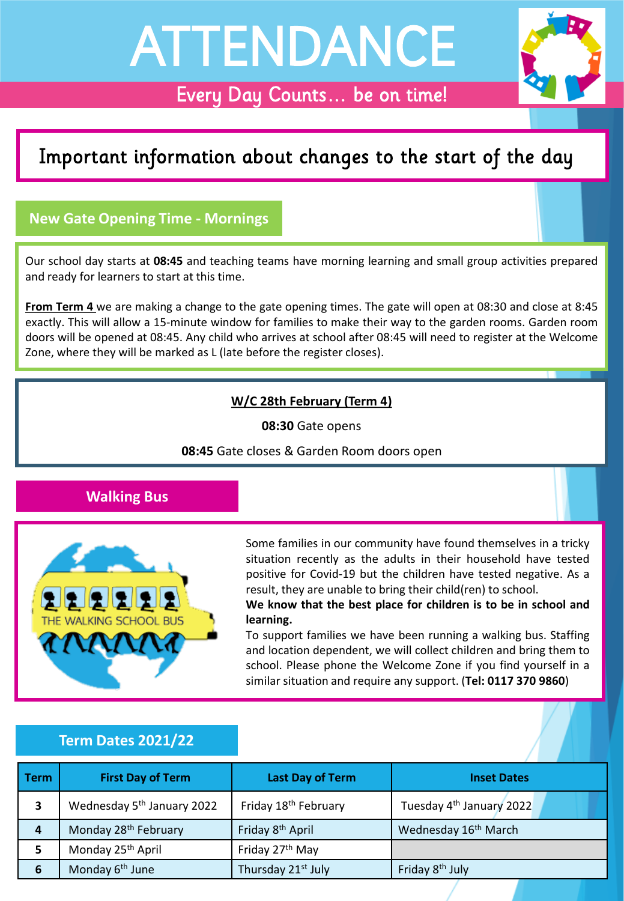# ATTENDANCE

# Every Day Counts… be on time!

# Important information about changes to the start of the day

# **New Gate Opening Time - Mornings**

Our school day starts at **08:45** and teaching teams have morning learning and small group activities prepared and ready for learners to start at this time.

**From Term 4** we are making a change to the gate opening times. The gate will open at 08:30 and close at 8:45 exactly. This will allow a 15-minute window for families to make their way to the garden rooms. Garden room doors will be opened at 08:45. Any child who arrives at school after 08:45 will need to register at the Welcome Zone, where they will be marked as L (late before the register closes).

## **W/C 28th February (Term 4)**

**08:30** Gate opens

**08:45** Gate closes & Garden Room doors open

## **Walking Bus**



Some families in our community have found themselves in a tricky situation recently as the adults in their household have tested positive for Covid-19 but the children have tested negative. As a result, they are unable to bring their child(ren) to school.

**We know that the best place for children is to be in school and learning.**

To support families we have been running a walking bus. Staffing and location dependent, we will collect children and bring them to school. Please phone the Welcome Zone if you find yourself in a similar situation and require any support. (**Tel: 0117 370 9860**)

#### **Term Dates 2021/22**

| Term | <b>First Day of Term</b>               | <b>Last Day of Term</b>          | <b>Inset Dates</b>                   |
|------|----------------------------------------|----------------------------------|--------------------------------------|
| 3    | Wednesday 5 <sup>th</sup> January 2022 | Friday 18 <sup>th</sup> February | Tuesday 4 <sup>th</sup> January 2022 |
| 4    | Monday 28 <sup>th</sup> February       | Friday 8 <sup>th</sup> April     | Wednesday 16 <sup>th</sup> March     |
| 5    | Monday 25 <sup>th</sup> April          | Friday 27 <sup>th</sup> May      |                                      |
| 6    | Monday 6 <sup>th</sup> June            | Thursday 21 <sup>st</sup> July   | Friday 8 <sup>th</sup> July          |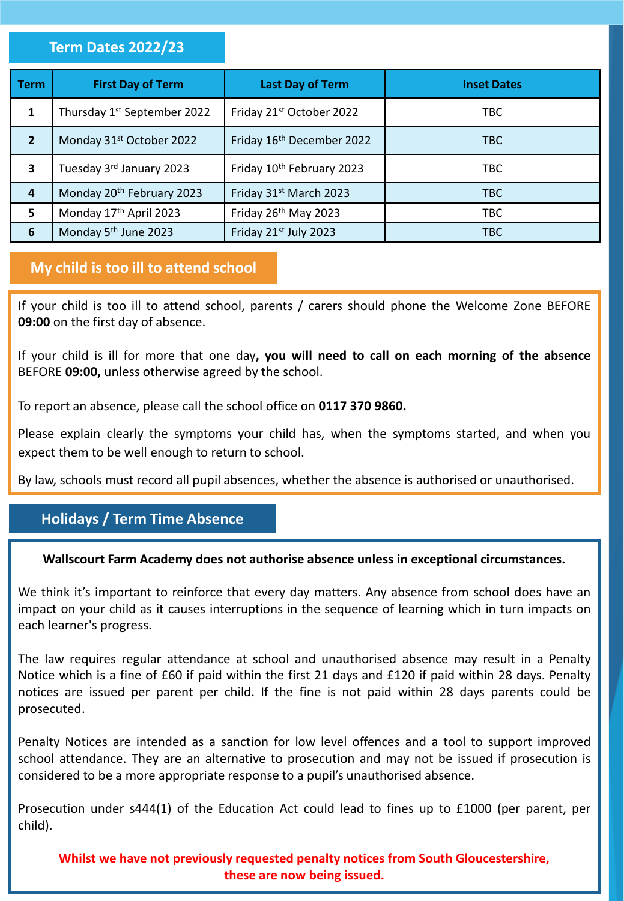#### **Term Dates 2022/23**

| <b>Term</b>             | <b>First Day of Term</b>                | <b>Last Day of Term</b>   | <b>Inset Dates</b> |
|-------------------------|-----------------------------------------|---------------------------|--------------------|
| 1                       | Thursday 1 <sup>st</sup> September 2022 | Friday 21st October 2022  | TBC.               |
| $\overline{2}$          | Monday 31st October 2022                | Friday 16th December 2022 | <b>TBC</b>         |
| $\overline{\mathbf{3}}$ | Tuesday 3rd January 2023                | Friday 10th February 2023 | <b>TBC</b>         |
| 4                       | Monday 20 <sup>th</sup> February 2023   | Friday 31st March 2023    | <b>TBC</b>         |
| 5                       | Monday 17th April 2023                  | Friday 26th May 2023      | <b>TBC</b>         |
| 6                       | Monday 5 <sup>th</sup> June 2023        | Friday 21st July 2023     | TBC                |

#### **My child is too ill to attend school**

If your child is too ill to attend school, parents / carers should phone the Welcome Zone BEFORE **09:00** on the first day of absence.

If your child is ill for more that one day**, you will need to call on each morning of the absence** BEFORE **09:00,** unless otherwise agreed by the school.

To report an absence, please call the school office on **0117 370 9860.**

Please explain clearly the symptoms your child has, when the symptoms started, and when you expect them to be well enough to return to school.

By law, schools must record all pupil absences, whether the absence is authorised or unauthorised.

# **Holidays / Term Time Absence**

#### **Wallscourt Farm Academy does not authorise absence unless in exceptional circumstances.**

We think it's important to reinforce that every day matters. Any absence from school does have an impact on your child as it causes interruptions in the sequence of learning which in turn impacts on each learner's progress.

The law requires regular attendance at school and unauthorised absence may result in a Penalty Notice which is a fine of £60 if paid within the first 21 days and £120 if paid within 28 days. Penalty notices are issued per parent per child. If the fine is not paid within 28 days parents could be prosecuted.

Penalty Notices are intended as a sanction for low level offences and a tool to support improved school attendance. They are an alternative to prosecution and may not be issued if prosecution is considered to be a more appropriate response to a pupil's unauthorised absence.

Prosecution under s444(1) of the Education Act could lead to fines up to £1000 (per parent, per child).

**Whilst we have not previously requested penalty notices from South Gloucestershire, these are now being issued.**